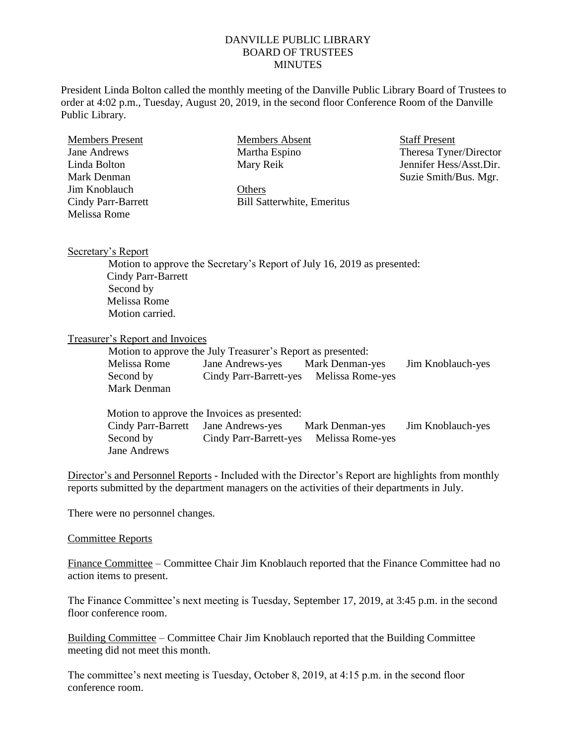## DANVILLE PUBLIC LIBRARY BOARD OF TRUSTEES **MINUTES**

President Linda Bolton called the monthly meeting of the Danville Public Library Board of Trustees to order at 4:02 p.m., Tuesday, August 20, 2019, in the second floor Conference Room of the Danville Public Library.

| <b>Members Present</b> | <b>Members Absent</b>             | Stai |  |
|------------------------|-----------------------------------|------|--|
| Jane Andrews           | Martha Espino                     | The  |  |
| Linda Bolton           | Mary Reik                         | Jem  |  |
| Mark Denman            |                                   | Suz  |  |
| Jim Knoblauch          | Others                            |      |  |
| Cindy Parr-Barrett     | <b>Bill Satterwhite, Emeritus</b> |      |  |
| Melissa Rome           |                                   |      |  |

ff Present eresa Tyner/Director nifer Hess/Asst.Dir. zie Smith/Bus. Mgr.

## Secretary's Report

Motion to approve the Secretary's Report of July 16, 2019 as presented: Cindy Parr-Barrett Second by Melissa Rome Motion carried.

## Treasurer's Report and Invoices

Motion to approve the July Treasurer's Report as presented:

| Melissa Rome | Jane Andrews-yes                        | Mark Denman-yes | Jim Knoblauch-yes |
|--------------|-----------------------------------------|-----------------|-------------------|
| Second by    | Cindy Parr-Barrett-yes Melissa Rome-yes |                 |                   |
| Mark Denman  |                                         |                 |                   |

|                                     | Motion to approve the Invoices as presented: |                 |                   |
|-------------------------------------|----------------------------------------------|-----------------|-------------------|
| Cindy Parr-Barrett Jane Andrews-yes |                                              | Mark Denman-yes | Jim Knoblauch-yes |
| Second by                           | Cindy Parr-Barrett-yes Melissa Rome-yes      |                 |                   |
| Jane Andrews                        |                                              |                 |                   |

Director's and Personnel Reports - Included with the Director's Report are highlights from monthly reports submitted by the department managers on the activities of their departments in July.

There were no personnel changes.

## Committee Reports

Finance Committee – Committee Chair Jim Knoblauch reported that the Finance Committee had no action items to present.

The Finance Committee's next meeting is Tuesday, September 17, 2019, at 3:45 p.m. in the second floor conference room.

Building Committee – Committee Chair Jim Knoblauch reported that the Building Committee meeting did not meet this month.

The committee's next meeting is Tuesday, October 8, 2019, at 4:15 p.m. in the second floor conference room.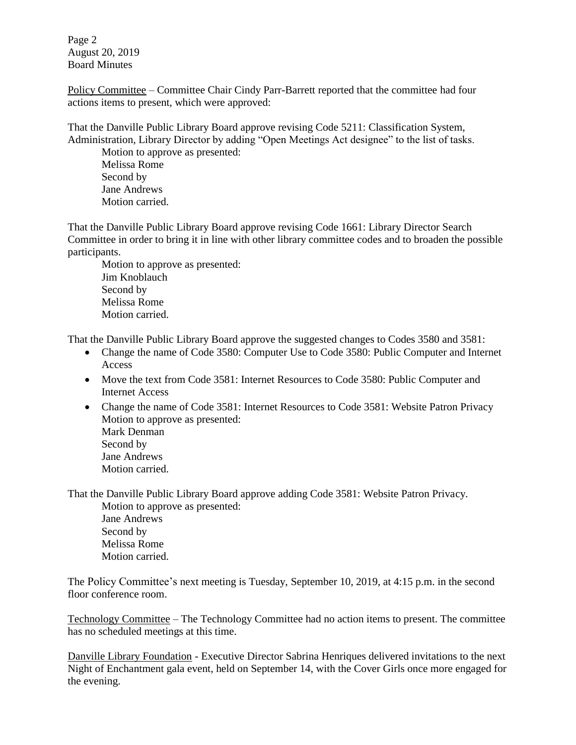Page 2 August 20, 2019 Board Minutes

Policy Committee – Committee Chair Cindy Parr-Barrett reported that the committee had four actions items to present, which were approved:

That the Danville Public Library Board approve revising Code 5211: Classification System, Administration, Library Director by adding "Open Meetings Act designee" to the list of tasks.

Motion to approve as presented: Melissa Rome Second by Jane Andrews Motion carried.

That the Danville Public Library Board approve revising Code 1661: Library Director Search Committee in order to bring it in line with other library committee codes and to broaden the possible participants.

Motion to approve as presented: Jim Knoblauch Second by Melissa Rome Motion carried.

That the Danville Public Library Board approve the suggested changes to Codes 3580 and 3581:

- Change the name of Code 3580: Computer Use to Code 3580: Public Computer and Internet Access
- Move the text from Code 3581: Internet Resources to Code 3580: Public Computer and Internet Access
- Change the name of Code 3581: Internet Resources to Code 3581: Website Patron Privacy Motion to approve as presented: Mark Denman Second by Jane Andrews Motion carried.

That the Danville Public Library Board approve adding Code 3581: Website Patron Privacy.

Motion to approve as presented: Jane Andrews Second by Melissa Rome Motion carried.

The Policy Committee's next meeting is Tuesday, September 10, 2019, at 4:15 p.m. in the second floor conference room.

Technology Committee – The Technology Committee had no action items to present. The committee has no scheduled meetings at this time.

Danville Library Foundation - Executive Director Sabrina Henriques delivered invitations to the next Night of Enchantment gala event, held on September 14, with the Cover Girls once more engaged for the evening.